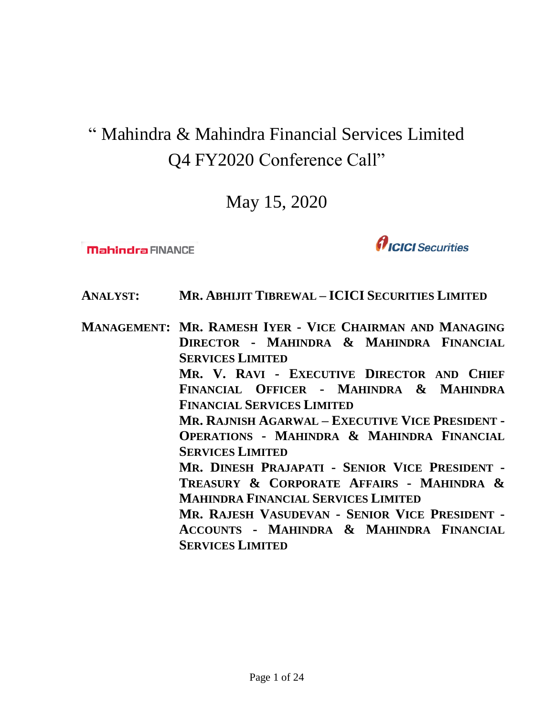# " Mahindra & Mahindra Financial Services Limited Q4 FY2020 Conference Call"

May 15, 2020

**Mahindra FINANCE** 

 $\boldsymbol{\theta}$ ICICI Securities

- **ANALYST: MR. ABHIJIT TIBREWAL – ICICI SECURITIES LIMITED**
- **MANAGEMENT: MR. RAMESH IYER - VICE CHAIRMAN AND MANAGING DIRECTOR - MAHINDRA & MAHINDRA FINANCIAL SERVICES LIMITED MR. V. RAVI - EXECUTIVE DIRECTOR AND CHIEF FINANCIAL OFFICER - MAHINDRA & MAHINDRA FINANCIAL SERVICES LIMITED MR. RAJNISH AGARWAL – EXECUTIVE VICE PRESIDENT - OPERATIONS - MAHINDRA & MAHINDRA FINANCIAL SERVICES LIMITED MR. DINESH PRAJAPATI - SENIOR VICE PRESIDENT - TREASURY & CORPORATE AFFAIRS - MAHINDRA & MAHINDRA FINANCIAL SERVICES LIMITED MR. RAJESH VASUDEVAN - SENIOR VICE PRESIDENT - ACCOUNTS - MAHINDRA & MAHINDRA FINANCIAL SERVICES LIMITED**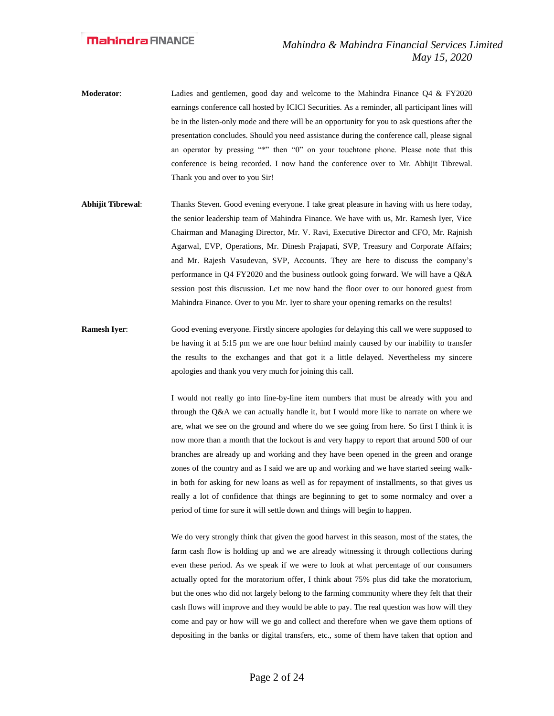- **Moderator**: Ladies and gentlemen, good day and welcome to the Mahindra Finance Q4 & FY2020 earnings conference call hosted by ICICI Securities. As a reminder, all participant lines will be in the listen-only mode and there will be an opportunity for you to ask questions after the presentation concludes. Should you need assistance during the conference call, please signal an operator by pressing "\*" then "0" on your touchtone phone. Please note that this conference is being recorded. I now hand the conference over to Mr. Abhijit Tibrewal. Thank you and over to you Sir!
- **Abhijit Tibrewal**: Thanks Steven. Good evening everyone. I take great pleasure in having with us here today, the senior leadership team of Mahindra Finance. We have with us, Mr. Ramesh Iyer, Vice Chairman and Managing Director, Mr. V. Ravi, Executive Director and CFO, Mr. Rajnish Agarwal, EVP, Operations, Mr. Dinesh Prajapati, SVP, Treasury and Corporate Affairs; and Mr. Rajesh Vasudevan, SVP, Accounts. They are here to discuss the company's performance in Q4 FY2020 and the business outlook going forward. We will have a Q&A session post this discussion. Let me now hand the floor over to our honored guest from Mahindra Finance. Over to you Mr. Iyer to share your opening remarks on the results!
- **Ramesh Iyer:** Good evening everyone. Firstly sincere apologies for delaying this call we were supposed to be having it at 5:15 pm we are one hour behind mainly caused by our inability to transfer the results to the exchanges and that got it a little delayed. Nevertheless my sincere apologies and thank you very much for joining this call.

I would not really go into line-by-line item numbers that must be already with you and through the Q&A we can actually handle it, but I would more like to narrate on where we are, what we see on the ground and where do we see going from here. So first I think it is now more than a month that the lockout is and very happy to report that around 500 of our branches are already up and working and they have been opened in the green and orange zones of the country and as I said we are up and working and we have started seeing walkin both for asking for new loans as well as for repayment of installments, so that gives us really a lot of confidence that things are beginning to get to some normalcy and over a period of time for sure it will settle down and things will begin to happen.

We do very strongly think that given the good harvest in this season, most of the states, the farm cash flow is holding up and we are already witnessing it through collections during even these period. As we speak if we were to look at what percentage of our consumers actually opted for the moratorium offer, I think about 75% plus did take the moratorium, but the ones who did not largely belong to the farming community where they felt that their cash flows will improve and they would be able to pay. The real question was how will they come and pay or how will we go and collect and therefore when we gave them options of depositing in the banks or digital transfers, etc., some of them have taken that option and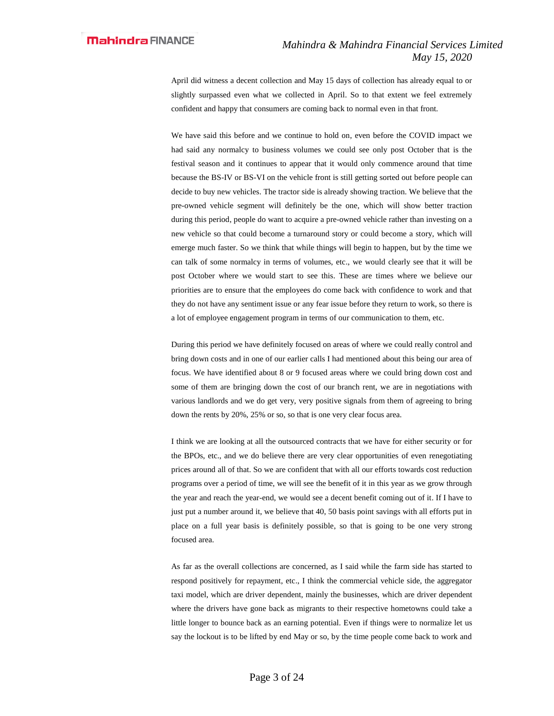April did witness a decent collection and May 15 days of collection has already equal to or slightly surpassed even what we collected in April. So to that extent we feel extremely confident and happy that consumers are coming back to normal even in that front.

We have said this before and we continue to hold on, even before the COVID impact we had said any normalcy to business volumes we could see only post October that is the festival season and it continues to appear that it would only commence around that time because the BS-IV or BS-VI on the vehicle front is still getting sorted out before people can decide to buy new vehicles. The tractor side is already showing traction. We believe that the pre-owned vehicle segment will definitely be the one, which will show better traction during this period, people do want to acquire a pre-owned vehicle rather than investing on a new vehicle so that could become a turnaround story or could become a story, which will emerge much faster. So we think that while things will begin to happen, but by the time we can talk of some normalcy in terms of volumes, etc., we would clearly see that it will be post October where we would start to see this. These are times where we believe our priorities are to ensure that the employees do come back with confidence to work and that they do not have any sentiment issue or any fear issue before they return to work, so there is a lot of employee engagement program in terms of our communication to them, etc.

During this period we have definitely focused on areas of where we could really control and bring down costs and in one of our earlier calls I had mentioned about this being our area of focus. We have identified about 8 or 9 focused areas where we could bring down cost and some of them are bringing down the cost of our branch rent, we are in negotiations with various landlords and we do get very, very positive signals from them of agreeing to bring down the rents by 20%, 25% or so, so that is one very clear focus area.

I think we are looking at all the outsourced contracts that we have for either security or for the BPOs, etc., and we do believe there are very clear opportunities of even renegotiating prices around all of that. So we are confident that with all our efforts towards cost reduction programs over a period of time, we will see the benefit of it in this year as we grow through the year and reach the year-end, we would see a decent benefit coming out of it. If I have to just put a number around it, we believe that 40, 50 basis point savings with all efforts put in place on a full year basis is definitely possible, so that is going to be one very strong focused area.

As far as the overall collections are concerned, as I said while the farm side has started to respond positively for repayment, etc., I think the commercial vehicle side, the aggregator taxi model, which are driver dependent, mainly the businesses, which are driver dependent where the drivers have gone back as migrants to their respective hometowns could take a little longer to bounce back as an earning potential. Even if things were to normalize let us say the lockout is to be lifted by end May or so, by the time people come back to work and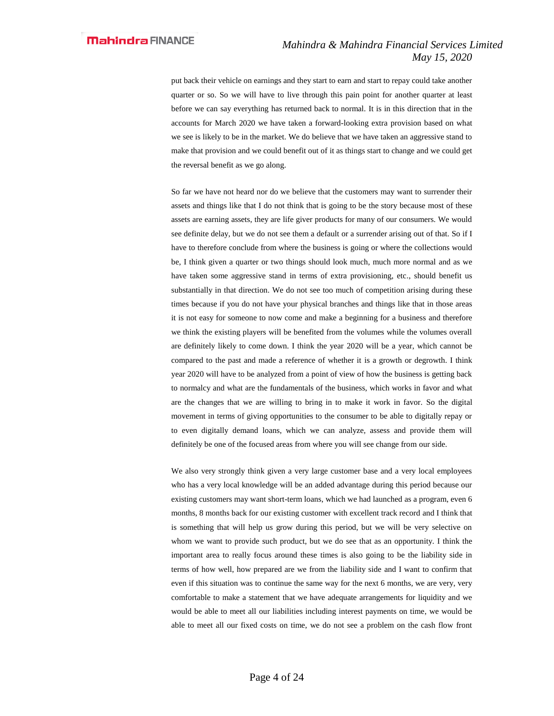put back their vehicle on earnings and they start to earn and start to repay could take another quarter or so. So we will have to live through this pain point for another quarter at least before we can say everything has returned back to normal. It is in this direction that in the accounts for March 2020 we have taken a forward-looking extra provision based on what we see is likely to be in the market. We do believe that we have taken an aggressive stand to make that provision and we could benefit out of it as things start to change and we could get the reversal benefit as we go along.

So far we have not heard nor do we believe that the customers may want to surrender their assets and things like that I do not think that is going to be the story because most of these assets are earning assets, they are life giver products for many of our consumers. We would see definite delay, but we do not see them a default or a surrender arising out of that. So if I have to therefore conclude from where the business is going or where the collections would be, I think given a quarter or two things should look much, much more normal and as we have taken some aggressive stand in terms of extra provisioning, etc., should benefit us substantially in that direction. We do not see too much of competition arising during these times because if you do not have your physical branches and things like that in those areas it is not easy for someone to now come and make a beginning for a business and therefore we think the existing players will be benefited from the volumes while the volumes overall are definitely likely to come down. I think the year 2020 will be a year, which cannot be compared to the past and made a reference of whether it is a growth or degrowth. I think year 2020 will have to be analyzed from a point of view of how the business is getting back to normalcy and what are the fundamentals of the business, which works in favor and what are the changes that we are willing to bring in to make it work in favor. So the digital movement in terms of giving opportunities to the consumer to be able to digitally repay or to even digitally demand loans, which we can analyze, assess and provide them will definitely be one of the focused areas from where you will see change from our side.

We also very strongly think given a very large customer base and a very local employees who has a very local knowledge will be an added advantage during this period because our existing customers may want short-term loans, which we had launched as a program, even 6 months, 8 months back for our existing customer with excellent track record and I think that is something that will help us grow during this period, but we will be very selective on whom we want to provide such product, but we do see that as an opportunity. I think the important area to really focus around these times is also going to be the liability side in terms of how well, how prepared are we from the liability side and I want to confirm that even if this situation was to continue the same way for the next 6 months, we are very, very comfortable to make a statement that we have adequate arrangements for liquidity and we would be able to meet all our liabilities including interest payments on time, we would be able to meet all our fixed costs on time, we do not see a problem on the cash flow front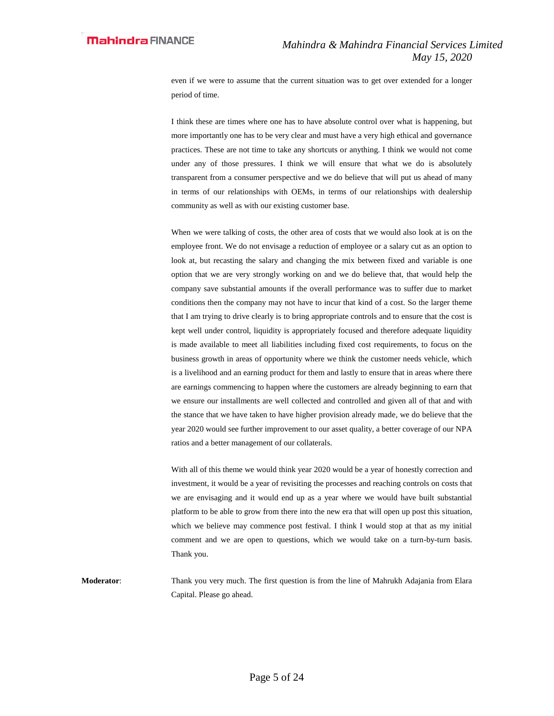even if we were to assume that the current situation was to get over extended for a longer period of time.

I think these are times where one has to have absolute control over what is happening, but more importantly one has to be very clear and must have a very high ethical and governance practices. These are not time to take any shortcuts or anything. I think we would not come under any of those pressures. I think we will ensure that what we do is absolutely transparent from a consumer perspective and we do believe that will put us ahead of many in terms of our relationships with OEMs, in terms of our relationships with dealership community as well as with our existing customer base.

When we were talking of costs, the other area of costs that we would also look at is on the employee front. We do not envisage a reduction of employee or a salary cut as an option to look at, but recasting the salary and changing the mix between fixed and variable is one option that we are very strongly working on and we do believe that, that would help the company save substantial amounts if the overall performance was to suffer due to market conditions then the company may not have to incur that kind of a cost. So the larger theme that I am trying to drive clearly is to bring appropriate controls and to ensure that the cost is kept well under control, liquidity is appropriately focused and therefore adequate liquidity is made available to meet all liabilities including fixed cost requirements, to focus on the business growth in areas of opportunity where we think the customer needs vehicle, which is a livelihood and an earning product for them and lastly to ensure that in areas where there are earnings commencing to happen where the customers are already beginning to earn that we ensure our installments are well collected and controlled and given all of that and with the stance that we have taken to have higher provision already made, we do believe that the year 2020 would see further improvement to our asset quality, a better coverage of our NPA ratios and a better management of our collaterals.

With all of this theme we would think year 2020 would be a year of honestly correction and investment, it would be a year of revisiting the processes and reaching controls on costs that we are envisaging and it would end up as a year where we would have built substantial platform to be able to grow from there into the new era that will open up post this situation, which we believe may commence post festival. I think I would stop at that as my initial comment and we are open to questions, which we would take on a turn-by-turn basis. Thank you.

**Moderator**: Thank you very much. The first question is from the line of Mahrukh Adajania from Elara Capital. Please go ahead.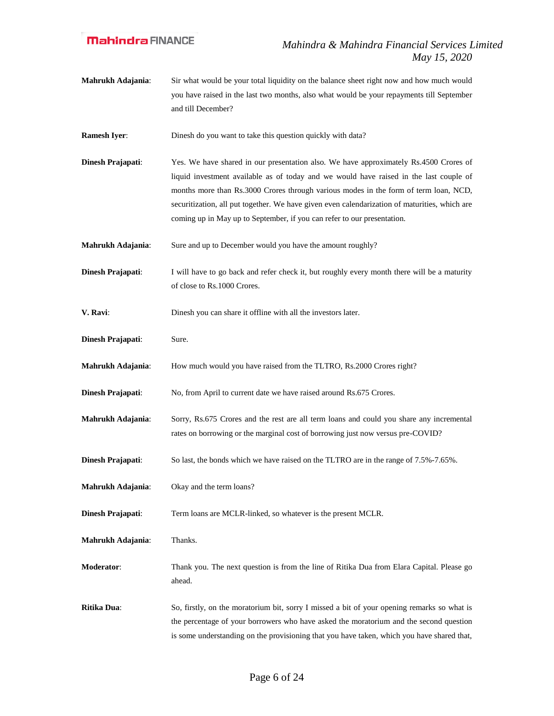**Mahrukh Adajania**: Sir what would be your total liquidity on the balance sheet right now and how much would you have raised in the last two months, also what would be your repayments till September and till December?

**Ramesh Iyer:** Dinesh do you want to take this question quickly with data?

- **Dinesh Prajapati**: Yes. We have shared in our presentation also. We have approximately Rs.4500 Crores of liquid investment available as of today and we would have raised in the last couple of months more than Rs.3000 Crores through various modes in the form of term loan, NCD, securitization, all put together. We have given even calendarization of maturities, which are coming up in May up to September, if you can refer to our presentation.
- **Mahrukh Adajania:** Sure and up to December would you have the amount roughly?
- **Dinesh Prajapati:** I will have to go back and refer check it, but roughly every month there will be a maturity of close to Rs.1000 Crores.
- **V. Ravi**: Dinesh you can share it offline with all the investors later.
- **Dinesh Prajapati**: Sure.
- **Mahrukh Adajania:** How much would you have raised from the TLTRO, Rs.2000 Crores right?
- **Dinesh Prajapati:** No, from April to current date we have raised around Rs.675 Crores.
- **Mahrukh Adajania**: Sorry, Rs.675 Crores and the rest are all term loans and could you share any incremental rates on borrowing or the marginal cost of borrowing just now versus pre-COVID?
- **Dinesh Prajapati**: So last, the bonds which we have raised on the TLTRO are in the range of 7.5%-7.65%.
- **Mahrukh Adajania**: Okay and the term loans?

**Dinesh Prajapati:** Term loans are MCLR-linked, so whatever is the present MCLR.

**Mahrukh Adajania**: Thanks.

**Moderator**: Thank you. The next question is from the line of Ritika Dua from Elara Capital. Please go ahead.

**Ritika Dua**: So, firstly, on the moratorium bit, sorry I missed a bit of your opening remarks so what is the percentage of your borrowers who have asked the moratorium and the second question is some understanding on the provisioning that you have taken, which you have shared that,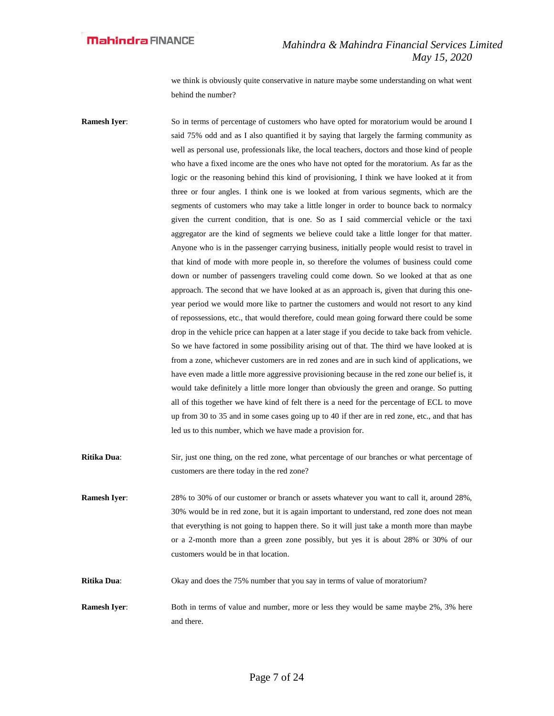we think is obviously quite conservative in nature maybe some understanding on what went behind the number?

**Ramesh Iyer:** So in terms of percentage of customers who have opted for moratorium would be around I said 75% odd and as I also quantified it by saying that largely the farming community as well as personal use, professionals like, the local teachers, doctors and those kind of people who have a fixed income are the ones who have not opted for the moratorium. As far as the logic or the reasoning behind this kind of provisioning, I think we have looked at it from three or four angles. I think one is we looked at from various segments, which are the segments of customers who may take a little longer in order to bounce back to normalcy given the current condition, that is one. So as I said commercial vehicle or the taxi aggregator are the kind of segments we believe could take a little longer for that matter. Anyone who is in the passenger carrying business, initially people would resist to travel in that kind of mode with more people in, so therefore the volumes of business could come down or number of passengers traveling could come down. So we looked at that as one approach. The second that we have looked at as an approach is, given that during this oneyear period we would more like to partner the customers and would not resort to any kind of repossessions, etc., that would therefore, could mean going forward there could be some drop in the vehicle price can happen at a later stage if you decide to take back from vehicle. So we have factored in some possibility arising out of that. The third we have looked at is from a zone, whichever customers are in red zones and are in such kind of applications, we have even made a little more aggressive provisioning because in the red zone our belief is, it would take definitely a little more longer than obviously the green and orange. So putting all of this together we have kind of felt there is a need for the percentage of ECL to move up from 30 to 35 and in some cases going up to 40 if ther are in red zone, etc., and that has led us to this number, which we have made a provision for.

**Ritika Dua**: Sir, just one thing, on the red zone, what percentage of our branches or what percentage of customers are there today in the red zone?

**Ramesh Iyer:** 28% to 30% of our customer or branch or assets whatever you want to call it, around 28%, 30% would be in red zone, but it is again important to understand, red zone does not mean that everything is not going to happen there. So it will just take a month more than maybe or a 2-month more than a green zone possibly, but yes it is about 28% or 30% of our customers would be in that location.

**Ritika Dua**: Okay and does the 75% number that you say in terms of value of moratorium?

**Ramesh Iyer:** Both in terms of value and number, more or less they would be same maybe 2%, 3% here and there.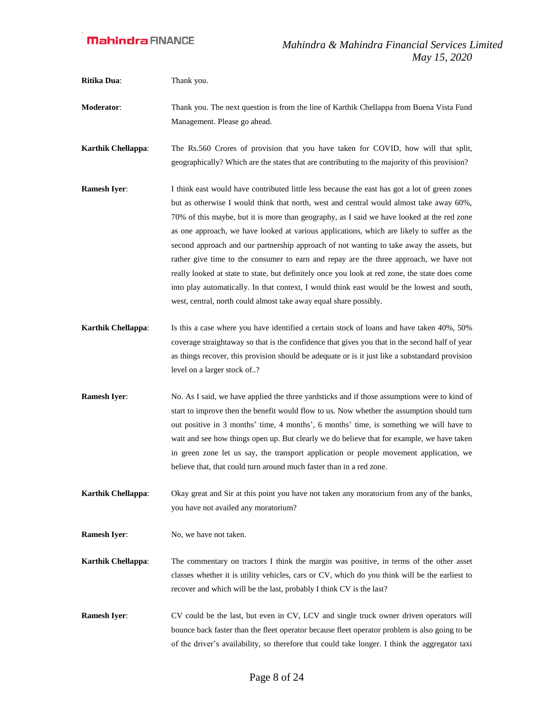**Ritika Dua**: Thank you.

**Moderator**: Thank you. The next question is from the line of Karthik Chellappa from Buena Vista Fund Management. Please go ahead.

**Karthik Chellappa**: The Rs.560 Crores of provision that you have taken for COVID, how will that split, geographically? Which are the states that are contributing to the majority of this provision?

- **Ramesh Iyer:** I think east would have contributed little less because the east has got a lot of green zones but as otherwise I would think that north, west and central would almost take away 60%, 70% of this maybe, but it is more than geography, as I said we have looked at the red zone as one approach, we have looked at various applications, which are likely to suffer as the second approach and our partnership approach of not wanting to take away the assets, but rather give time to the consumer to earn and repay are the three approach, we have not really looked at state to state, but definitely once you look at red zone, the state does come into play automatically. In that context, I would think east would be the lowest and south, west, central, north could almost take away equal share possibly.
- **Karthik Chellappa**: Is this a case where you have identified a certain stock of loans and have taken 40%, 50% coverage straightaway so that is the confidence that gives you that in the second half of year as things recover, this provision should be adequate or is it just like a substandard provision level on a larger stock of..?
- **Ramesh Iyer:** No. As I said, we have applied the three yardsticks and if those assumptions were to kind of start to improve then the benefit would flow to us. Now whether the assumption should turn out positive in 3 months' time, 4 months', 6 months' time, is something we will have to wait and see how things open up. But clearly we do believe that for example, we have taken in green zone let us say, the transport application or people movement application, we believe that, that could turn around much faster than in a red zone.
- **Karthik Chellappa**: Okay great and Sir at this point you have not taken any moratorium from any of the banks, you have not availed any moratorium?
- **Ramesh Iyer:** No, we have not taken.
- **Karthik Chellappa**: The commentary on tractors I think the margin was positive, in terms of the other asset classes whether it is utility vehicles, cars or CV, which do you think will be the earliest to recover and which will be the last, probably I think CV is the last?
- **Ramesh Iyer:** CV could be the last, but even in CV, LCV and single truck owner driven operators will bounce back faster than the fleet operator because fleet operator problem is also going to be of the driver's availability, so therefore that could take longer. I think the aggregator taxi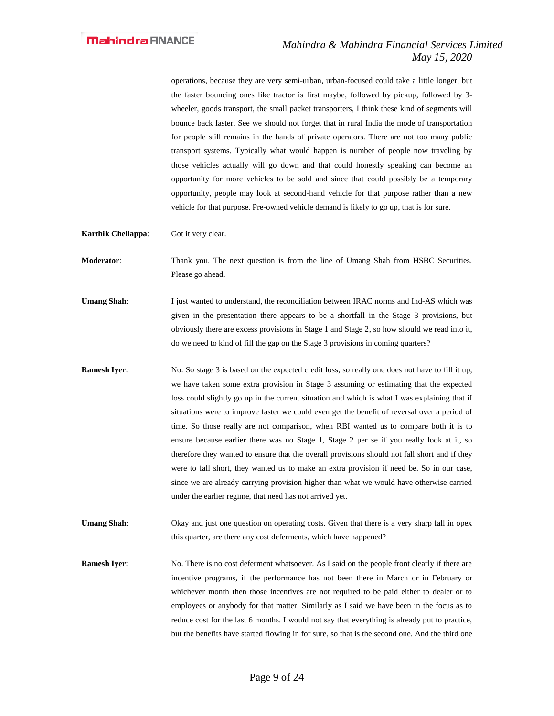operations, because they are very semi-urban, urban-focused could take a little longer, but the faster bouncing ones like tractor is first maybe, followed by pickup, followed by 3 wheeler, goods transport, the small packet transporters, I think these kind of segments will bounce back faster. See we should not forget that in rural India the mode of transportation for people still remains in the hands of private operators. There are not too many public transport systems. Typically what would happen is number of people now traveling by those vehicles actually will go down and that could honestly speaking can become an opportunity for more vehicles to be sold and since that could possibly be a temporary opportunity, people may look at second-hand vehicle for that purpose rather than a new vehicle for that purpose. Pre-owned vehicle demand is likely to go up, that is for sure.

**Karthik Chellappa**: Got it very clear.

**Moderator:** Thank you. The next question is from the line of Umang Shah from HSBC Securities. Please go ahead.

- **Umang Shah**: I just wanted to understand, the reconciliation between IRAC norms and Ind-AS which was given in the presentation there appears to be a shortfall in the Stage 3 provisions, but obviously there are excess provisions in Stage 1 and Stage 2, so how should we read into it, do we need to kind of fill the gap on the Stage 3 provisions in coming quarters?
- **Ramesh Iyer:** No. So stage 3 is based on the expected credit loss, so really one does not have to fill it up, we have taken some extra provision in Stage 3 assuming or estimating that the expected loss could slightly go up in the current situation and which is what I was explaining that if situations were to improve faster we could even get the benefit of reversal over a period of time. So those really are not comparison, when RBI wanted us to compare both it is to ensure because earlier there was no Stage 1, Stage 2 per se if you really look at it, so therefore they wanted to ensure that the overall provisions should not fall short and if they were to fall short, they wanted us to make an extra provision if need be. So in our case, since we are already carrying provision higher than what we would have otherwise carried under the earlier regime, that need has not arrived yet.
- **Umang Shah**: Okay and just one question on operating costs. Given that there is a very sharp fall in opex this quarter, are there any cost deferments, which have happened?

**Ramesh Iver:** No. There is no cost deferment whatsoever. As I said on the people front clearly if there are incentive programs, if the performance has not been there in March or in February or whichever month then those incentives are not required to be paid either to dealer or to employees or anybody for that matter. Similarly as I said we have been in the focus as to reduce cost for the last 6 months. I would not say that everything is already put to practice, but the benefits have started flowing in for sure, so that is the second one. And the third one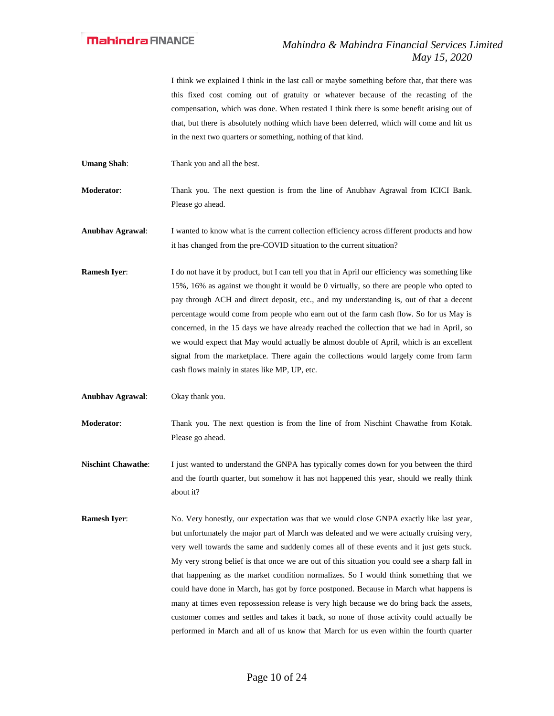I think we explained I think in the last call or maybe something before that, that there was this fixed cost coming out of gratuity or whatever because of the recasting of the compensation, which was done. When restated I think there is some benefit arising out of that, but there is absolutely nothing which have been deferred, which will come and hit us in the next two quarters or something, nothing of that kind.

**Umang Shah:** Thank you and all the best.

**Moderator**: Thank you. The next question is from the line of Anubhav Agrawal from ICICI Bank. Please go ahead.

**Anubhav Agrawal**: I wanted to know what is the current collection efficiency across different products and how it has changed from the pre-COVID situation to the current situation?

**Ramesh Iyer:** I do not have it by product, but I can tell you that in April our efficiency was something like 15%, 16% as against we thought it would be 0 virtually, so there are people who opted to pay through ACH and direct deposit, etc., and my understanding is, out of that a decent percentage would come from people who earn out of the farm cash flow. So for us May is concerned, in the 15 days we have already reached the collection that we had in April, so we would expect that May would actually be almost double of April, which is an excellent signal from the marketplace. There again the collections would largely come from farm cash flows mainly in states like MP, UP, etc.

**Anubhav Agrawal**: Okay thank you.

**Moderator**: Thank you. The next question is from the line of from Nischint Chawathe from Kotak. Please go ahead.

**Nischint Chawathe:** I just wanted to understand the GNPA has typically comes down for you between the third and the fourth quarter, but somehow it has not happened this year, should we really think about it?

**Ramesh Iyer:** No. Very honestly, our expectation was that we would close GNPA exactly like last year, but unfortunately the major part of March was defeated and we were actually cruising very, very well towards the same and suddenly comes all of these events and it just gets stuck. My very strong belief is that once we are out of this situation you could see a sharp fall in that happening as the market condition normalizes. So I would think something that we could have done in March, has got by force postponed. Because in March what happens is many at times even repossession release is very high because we do bring back the assets, customer comes and settles and takes it back, so none of those activity could actually be performed in March and all of us know that March for us even within the fourth quarter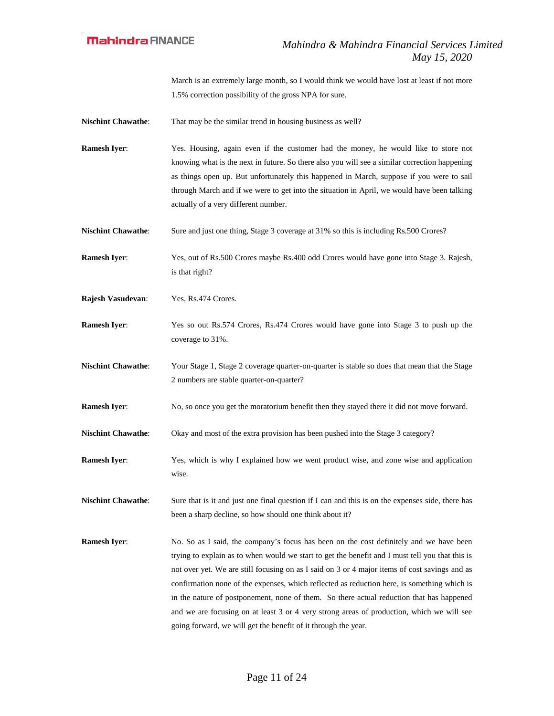March is an extremely large month, so I would think we would have lost at least if not more 1.5% correction possibility of the gross NPA for sure.

**Nischint Chawathe:** That may be the similar trend in housing business as well?

- **Ramesh Iyer**: Yes. Housing, again even if the customer had the money, he would like to store not knowing what is the next in future. So there also you will see a similar correction happening as things open up. But unfortunately this happened in March, suppose if you were to sail through March and if we were to get into the situation in April, we would have been talking actually of a very different number.
- **Nischint Chawathe:** Sure and just one thing, Stage 3 coverage at 31% so this is including Rs.500 Crores?
- **Ramesh Iyer**: Yes, out of Rs.500 Crores maybe Rs.400 odd Crores would have gone into Stage 3. Rajesh, is that right?
- **Rajesh Vasudevan**: Yes, Rs.474 Crores.
- **Ramesh Iyer:** Yes so out Rs.574 Crores, Rs.474 Crores would have gone into Stage 3 to push up the coverage to 31%.
- **Nischint Chawathe**: Your Stage 1, Stage 2 coverage quarter-on-quarter is stable so does that mean that the Stage 2 numbers are stable quarter-on-quarter?
- **Ramesh Iyer:** No, so once you get the moratorium benefit then they stayed there it did not move forward.
- **Nischint Chawathe:** Okay and most of the extra provision has been pushed into the Stage 3 category?
- **Ramesh Iyer**: Yes, which is why I explained how we went product wise, and zone wise and application wise.

**Nischint Chawathe:** Sure that is it and just one final question if I can and this is on the expenses side, there has been a sharp decline, so how should one think about it?

**Ramesh Iyer:** No. So as I said, the company's focus has been on the cost definitely and we have been trying to explain as to when would we start to get the benefit and I must tell you that this is not over yet. We are still focusing on as I said on 3 or 4 major items of cost savings and as confirmation none of the expenses, which reflected as reduction here, is something which is in the nature of postponement, none of them. So there actual reduction that has happened and we are focusing on at least 3 or 4 very strong areas of production, which we will see going forward, we will get the benefit of it through the year.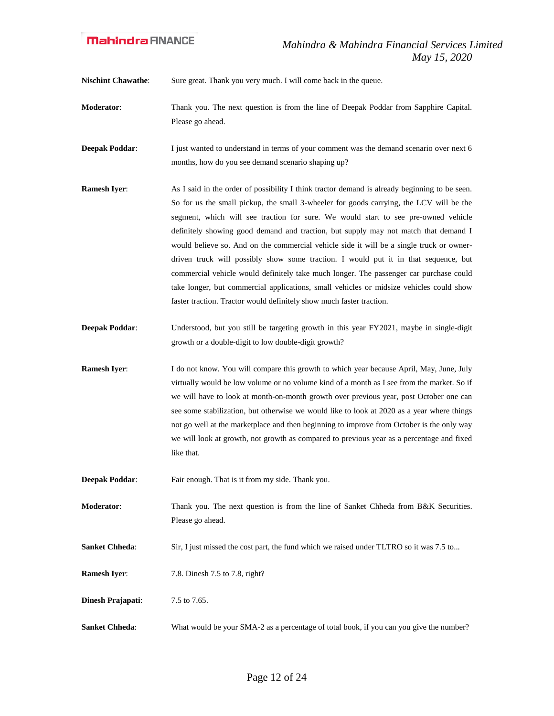**Nischint Chawathe:** Sure great. Thank you very much. I will come back in the queue.

- **Moderator**: Thank you. The next question is from the line of Deepak Poddar from Sapphire Capital. Please go ahead.
- **Deepak Poddar:** I just wanted to understand in terms of your comment was the demand scenario over next 6 months, how do you see demand scenario shaping up?
- **Ramesh Iyer:** As I said in the order of possibility I think tractor demand is already beginning to be seen. So for us the small pickup, the small 3-wheeler for goods carrying, the LCV will be the segment, which will see traction for sure. We would start to see pre-owned vehicle definitely showing good demand and traction, but supply may not match that demand I would believe so. And on the commercial vehicle side it will be a single truck or ownerdriven truck will possibly show some traction. I would put it in that sequence, but commercial vehicle would definitely take much longer. The passenger car purchase could take longer, but commercial applications, small vehicles or midsize vehicles could show faster traction. Tractor would definitely show much faster traction.
- **Deepak Poddar:** Understood, but you still be targeting growth in this year FY2021, maybe in single-digit growth or a double-digit to low double-digit growth?
- **Ramesh Iyer**: I do not know. You will compare this growth to which year because April, May, June, July virtually would be low volume or no volume kind of a month as I see from the market. So if we will have to look at month-on-month growth over previous year, post October one can see some stabilization, but otherwise we would like to look at 2020 as a year where things not go well at the marketplace and then beginning to improve from October is the only way we will look at growth, not growth as compared to previous year as a percentage and fixed like that.
- **Deepak Poddar:** Fair enough. That is it from my side. Thank you.
- **Moderator:** Thank you. The next question is from the line of Sanket Chheda from B&K Securities. Please go ahead.
- **Sanket Chheda:** Sir, I just missed the cost part, the fund which we raised under TLTRO so it was 7.5 to...
- **Ramesh Iyer:** 7.8. Dinesh 7.5 to 7.8, right?
- **Dinesh Prajapati**: 7.5 to 7.65.
- **Sanket Chheda:** What would be your SMA-2 as a percentage of total book, if you can you give the number?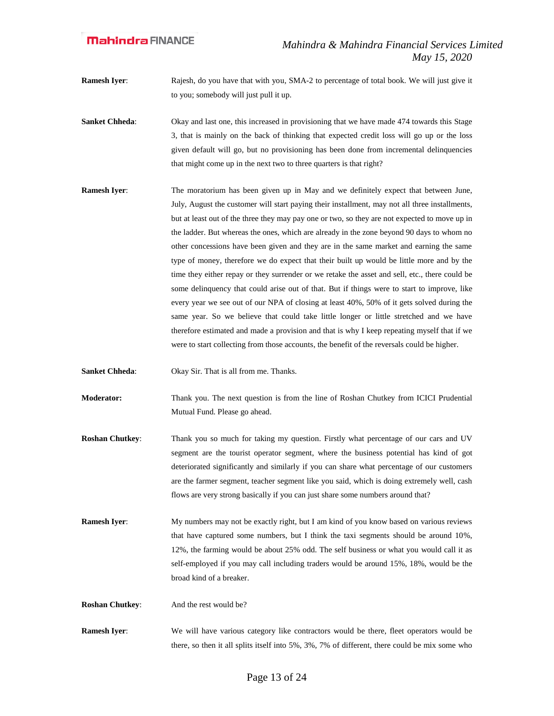**Ramesh Iyer:** Rajesh, do you have that with you, SMA-2 to percentage of total book. We will just give it to you; somebody will just pull it up.

- **Sanket Chheda:** Okay and last one, this increased in provisioning that we have made 474 towards this Stage 3, that is mainly on the back of thinking that expected credit loss will go up or the loss given default will go, but no provisioning has been done from incremental delinquencies that might come up in the next two to three quarters is that right?
- **Ramesh Iyer:** The moratorium has been given up in May and we definitely expect that between June, July, August the customer will start paying their installment, may not all three installments, but at least out of the three they may pay one or two, so they are not expected to move up in the ladder. But whereas the ones, which are already in the zone beyond 90 days to whom no other concessions have been given and they are in the same market and earning the same type of money, therefore we do expect that their built up would be little more and by the time they either repay or they surrender or we retake the asset and sell, etc., there could be some delinquency that could arise out of that. But if things were to start to improve, like every year we see out of our NPA of closing at least 40%, 50% of it gets solved during the same year. So we believe that could take little longer or little stretched and we have therefore estimated and made a provision and that is why I keep repeating myself that if we were to start collecting from those accounts, the benefit of the reversals could be higher.
- **Sanket Chheda**: Okay Sir. That is all from me. Thanks.
- **Moderator:** Thank you. The next question is from the line of Roshan Chutkey from ICICI Prudential Mutual Fund. Please go ahead.
- **Roshan Chutkey:** Thank you so much for taking my question. Firstly what percentage of our cars and UV segment are the tourist operator segment, where the business potential has kind of got deteriorated significantly and similarly if you can share what percentage of our customers are the farmer segment, teacher segment like you said, which is doing extremely well, cash flows are very strong basically if you can just share some numbers around that?
- **Ramesh Iyer:** My numbers may not be exactly right, but I am kind of you know based on various reviews that have captured some numbers, but I think the taxi segments should be around 10%, 12%, the farming would be about 25% odd. The self business or what you would call it as self-employed if you may call including traders would be around 15%, 18%, would be the broad kind of a breaker.
- **Roshan Chutkey:** And the rest would be?
- **Ramesh Iyer:** We will have various category like contractors would be there, fleet operators would be there, so then it all splits itself into 5%, 3%, 7% of different, there could be mix some who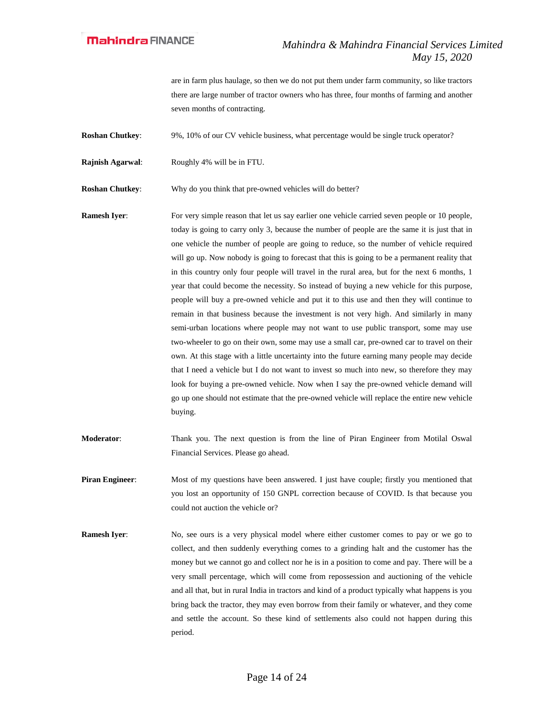are in farm plus haulage, so then we do not put them under farm community, so like tractors there are large number of tractor owners who has three, four months of farming and another seven months of contracting.

**Roshan Chutkey:** 9%, 10% of our CV vehicle business, what percentage would be single truck operator?

**Rajnish Agarwal**: Roughly 4% will be in FTU.

**Roshan Chutkey**: Why do you think that pre-owned vehicles will do better?

- **Ramesh Iyer:** For very simple reason that let us say earlier one vehicle carried seven people or 10 people, today is going to carry only 3, because the number of people are the same it is just that in one vehicle the number of people are going to reduce, so the number of vehicle required will go up. Now nobody is going to forecast that this is going to be a permanent reality that in this country only four people will travel in the rural area, but for the next 6 months, 1 year that could become the necessity. So instead of buying a new vehicle for this purpose, people will buy a pre-owned vehicle and put it to this use and then they will continue to remain in that business because the investment is not very high. And similarly in many semi-urban locations where people may not want to use public transport, some may use two-wheeler to go on their own, some may use a small car, pre-owned car to travel on their own. At this stage with a little uncertainty into the future earning many people may decide that I need a vehicle but I do not want to invest so much into new, so therefore they may look for buying a pre-owned vehicle. Now when I say the pre-owned vehicle demand will go up one should not estimate that the pre-owned vehicle will replace the entire new vehicle buying.
- **Moderator:** Thank you. The next question is from the line of Piran Engineer from Motilal Oswal Financial Services. Please go ahead.
- **Piran Engineer:** Most of my questions have been answered. I just have couple; firstly you mentioned that you lost an opportunity of 150 GNPL correction because of COVID. Is that because you could not auction the vehicle or?
- **Ramesh Iyer:** No, see ours is a very physical model where either customer comes to pay or we go to collect, and then suddenly everything comes to a grinding halt and the customer has the money but we cannot go and collect nor he is in a position to come and pay. There will be a very small percentage, which will come from repossession and auctioning of the vehicle and all that, but in rural India in tractors and kind of a product typically what happens is you bring back the tractor, they may even borrow from their family or whatever, and they come and settle the account. So these kind of settlements also could not happen during this period.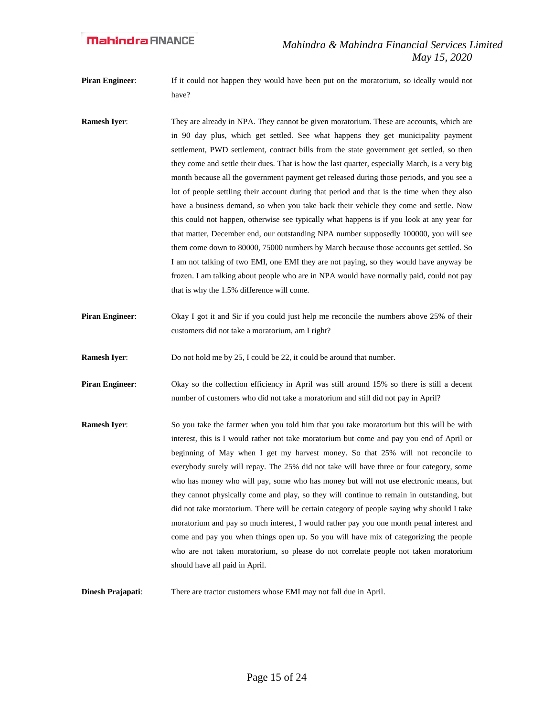**Piran Engineer:** If it could not happen they would have been put on the moratorium, so ideally would not have?

- **Ramesh Iyer:** They are already in NPA. They cannot be given moratorium. These are accounts, which are in 90 day plus, which get settled. See what happens they get municipality payment settlement, PWD settlement, contract bills from the state government get settled, so then they come and settle their dues. That is how the last quarter, especially March, is a very big month because all the government payment get released during those periods, and you see a lot of people settling their account during that period and that is the time when they also have a business demand, so when you take back their vehicle they come and settle. Now this could not happen, otherwise see typically what happens is if you look at any year for that matter, December end, our outstanding NPA number supposedly 100000, you will see them come down to 80000, 75000 numbers by March because those accounts get settled. So I am not talking of two EMI, one EMI they are not paying, so they would have anyway be frozen. I am talking about people who are in NPA would have normally paid, could not pay that is why the 1.5% difference will come.
- **Piran Engineer:** Okay I got it and Sir if you could just help me reconcile the numbers above 25% of their customers did not take a moratorium, am I right?

**Ramesh Iyer:** Do not hold me by 25, I could be 22, it could be around that number.

**Piran Engineer:** Okay so the collection efficiency in April was still around 15% so there is still a decent number of customers who did not take a moratorium and still did not pay in April?

**Ramesh Iver:** So you take the farmer when you told him that you take moratorium but this will be with interest, this is I would rather not take moratorium but come and pay you end of April or beginning of May when I get my harvest money. So that 25% will not reconcile to everybody surely will repay. The 25% did not take will have three or four category, some who has money who will pay, some who has money but will not use electronic means, but they cannot physically come and play, so they will continue to remain in outstanding, but did not take moratorium. There will be certain category of people saying why should I take moratorium and pay so much interest, I would rather pay you one month penal interest and come and pay you when things open up. So you will have mix of categorizing the people who are not taken moratorium, so please do not correlate people not taken moratorium should have all paid in April.

**Dinesh Prajapati**: There are tractor customers whose EMI may not fall due in April.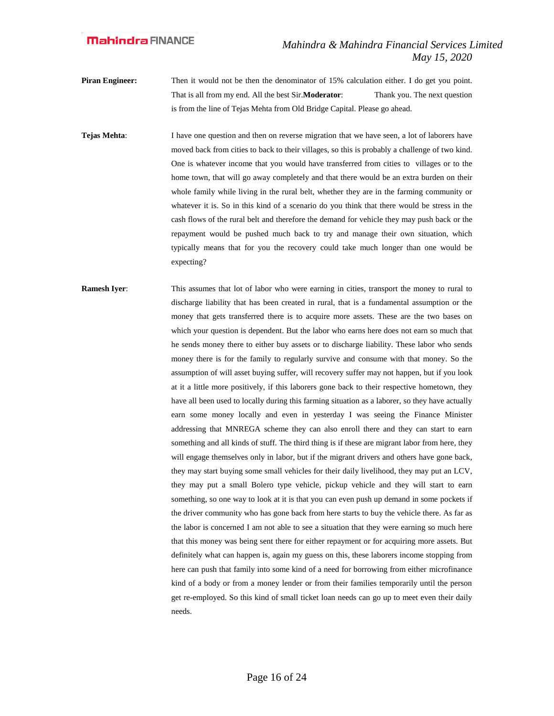**Piran Engineer:** Then it would not be then the denominator of 15% calculation either. I do get you point. That is all from my end. All the best Sir.**Moderator**: Thank you. The next question is from the line of Tejas Mehta from Old Bridge Capital. Please go ahead.

**Tejas Mehta:** I have one question and then on reverse migration that we have seen, a lot of laborers have moved back from cities to back to their villages, so this is probably a challenge of two kind. One is whatever income that you would have transferred from cities to villages or to the home town, that will go away completely and that there would be an extra burden on their whole family while living in the rural belt, whether they are in the farming community or whatever it is. So in this kind of a scenario do you think that there would be stress in the cash flows of the rural belt and therefore the demand for vehicle they may push back or the repayment would be pushed much back to try and manage their own situation, which typically means that for you the recovery could take much longer than one would be expecting?

**Ramesh Iyer:** This assumes that lot of labor who were earning in cities, transport the money to rural to discharge liability that has been created in rural, that is a fundamental assumption or the money that gets transferred there is to acquire more assets. These are the two bases on which your question is dependent. But the labor who earns here does not earn so much that he sends money there to either buy assets or to discharge liability. These labor who sends money there is for the family to regularly survive and consume with that money. So the assumption of will asset buying suffer, will recovery suffer may not happen, but if you look at it a little more positively, if this laborers gone back to their respective hometown, they have all been used to locally during this farming situation as a laborer, so they have actually earn some money locally and even in yesterday I was seeing the Finance Minister addressing that MNREGA scheme they can also enroll there and they can start to earn something and all kinds of stuff. The third thing is if these are migrant labor from here, they will engage themselves only in labor, but if the migrant drivers and others have gone back, they may start buying some small vehicles for their daily livelihood, they may put an LCV, they may put a small Bolero type vehicle, pickup vehicle and they will start to earn something, so one way to look at it is that you can even push up demand in some pockets if the driver community who has gone back from here starts to buy the vehicle there. As far as the labor is concerned I am not able to see a situation that they were earning so much here that this money was being sent there for either repayment or for acquiring more assets. But definitely what can happen is, again my guess on this, these laborers income stopping from here can push that family into some kind of a need for borrowing from either microfinance kind of a body or from a money lender or from their families temporarily until the person get re-employed. So this kind of small ticket loan needs can go up to meet even their daily needs.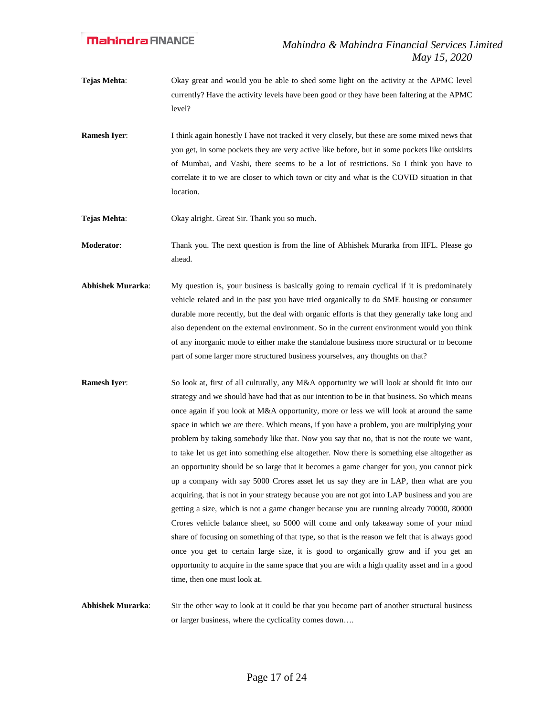- **Tejas Mehta:** Okay great and would you be able to shed some light on the activity at the APMC level currently? Have the activity levels have been good or they have been faltering at the APMC level?
- **Ramesh Iyer:** I think again honestly I have not tracked it very closely, but these are some mixed news that you get, in some pockets they are very active like before, but in some pockets like outskirts of Mumbai, and Vashi, there seems to be a lot of restrictions. So I think you have to correlate it to we are closer to which town or city and what is the COVID situation in that location.

**Tejas Mehta**: Okay alright. Great Sir. Thank you so much.

**Moderator**: Thank you. The next question is from the line of Abhishek Murarka from IIFL. Please go ahead.

- **Abhishek Murarka**: My question is, your business is basically going to remain cyclical if it is predominately vehicle related and in the past you have tried organically to do SME housing or consumer durable more recently, but the deal with organic efforts is that they generally take long and also dependent on the external environment. So in the current environment would you think of any inorganic mode to either make the standalone business more structural or to become part of some larger more structured business yourselves, any thoughts on that?
- **Ramesh Iyer:** So look at, first of all culturally, any M&A opportunity we will look at should fit into our strategy and we should have had that as our intention to be in that business. So which means once again if you look at M&A opportunity, more or less we will look at around the same space in which we are there. Which means, if you have a problem, you are multiplying your problem by taking somebody like that. Now you say that no, that is not the route we want, to take let us get into something else altogether. Now there is something else altogether as an opportunity should be so large that it becomes a game changer for you, you cannot pick up a company with say 5000 Crores asset let us say they are in LAP, then what are you acquiring, that is not in your strategy because you are not got into LAP business and you are getting a size, which is not a game changer because you are running already 70000, 80000 Crores vehicle balance sheet, so 5000 will come and only takeaway some of your mind share of focusing on something of that type, so that is the reason we felt that is always good once you get to certain large size, it is good to organically grow and if you get an opportunity to acquire in the same space that you are with a high quality asset and in a good time, then one must look at.
- **Abhishek Murarka**: Sir the other way to look at it could be that you become part of another structural business or larger business, where the cyclicality comes down….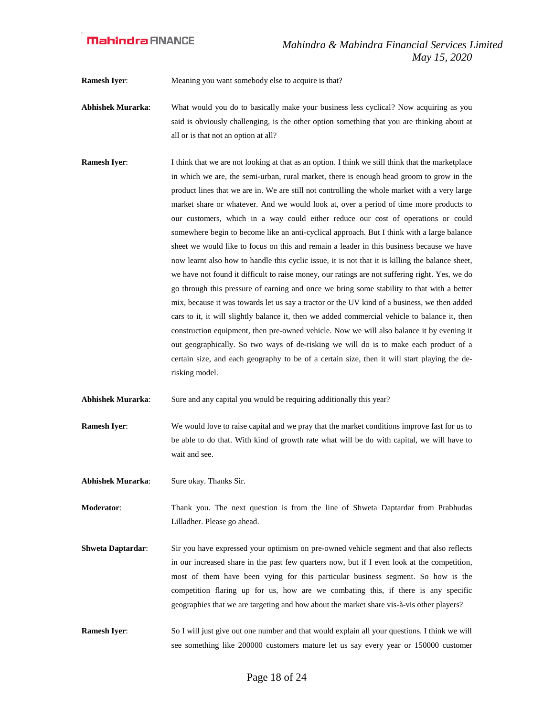**Ramesh Iyer:** Meaning you want somebody else to acquire is that?

- **Abhishek Murarka**: What would you do to basically make your business less cyclical? Now acquiring as you said is obviously challenging, is the other option something that you are thinking about at all or is that not an option at all?
- **Ramesh Iyer:** I think that we are not looking at that as an option. I think we still think that the marketplace in which we are, the semi-urban, rural market, there is enough head groom to grow in the product lines that we are in. We are still not controlling the whole market with a very large market share or whatever. And we would look at, over a period of time more products to our customers, which in a way could either reduce our cost of operations or could somewhere begin to become like an anti-cyclical approach. But I think with a large balance sheet we would like to focus on this and remain a leader in this business because we have now learnt also how to handle this cyclic issue, it is not that it is killing the balance sheet, we have not found it difficult to raise money, our ratings are not suffering right. Yes, we do go through this pressure of earning and once we bring some stability to that with a better mix, because it was towards let us say a tractor or the UV kind of a business, we then added cars to it, it will slightly balance it, then we added commercial vehicle to balance it, then construction equipment, then pre-owned vehicle. Now we will also balance it by evening it out geographically. So two ways of de-risking we will do is to make each product of a certain size, and each geography to be of a certain size, then it will start playing the derisking model.
- **Abhishek Murarka**: Sure and any capital you would be requiring additionally this year?
- **Ramesh Iyer:** We would love to raise capital and we pray that the market conditions improve fast for us to be able to do that. With kind of growth rate what will be do with capital, we will have to wait and see.
- Abhishek Murarka: Sure okay. Thanks Sir.

**Moderator**: Thank you. The next question is from the line of Shweta Daptardar from Prabhudas Lilladher. Please go ahead.

- **Shweta Daptardar:** Sir you have expressed your optimism on pre-owned vehicle segment and that also reflects in our increased share in the past few quarters now, but if I even look at the competition, most of them have been vying for this particular business segment. So how is the competition flaring up for us, how are we combating this, if there is any specific geographies that we are targeting and how about the market share vis-à-vis other players?
- **Ramesh Iyer:** So I will just give out one number and that would explain all your questions. I think we will see something like 200000 customers mature let us say every year or 150000 customer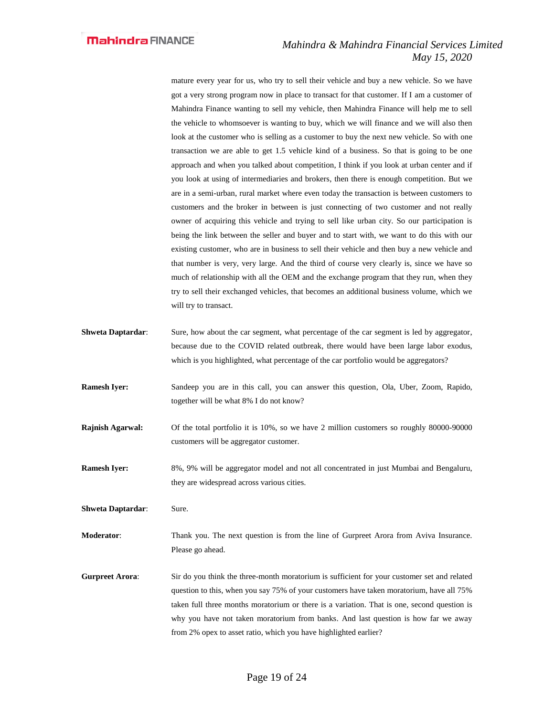mature every year for us, who try to sell their vehicle and buy a new vehicle. So we have got a very strong program now in place to transact for that customer. If I am a customer of Mahindra Finance wanting to sell my vehicle, then Mahindra Finance will help me to sell the vehicle to whomsoever is wanting to buy, which we will finance and we will also then look at the customer who is selling as a customer to buy the next new vehicle. So with one transaction we are able to get 1.5 vehicle kind of a business. So that is going to be one approach and when you talked about competition, I think if you look at urban center and if you look at using of intermediaries and brokers, then there is enough competition. But we are in a semi-urban, rural market where even today the transaction is between customers to customers and the broker in between is just connecting of two customer and not really owner of acquiring this vehicle and trying to sell like urban city. So our participation is being the link between the seller and buyer and to start with, we want to do this with our existing customer, who are in business to sell their vehicle and then buy a new vehicle and that number is very, very large. And the third of course very clearly is, since we have so much of relationship with all the OEM and the exchange program that they run, when they try to sell their exchanged vehicles, that becomes an additional business volume, which we will try to transact.

- **Shweta Daptardar:** Sure, how about the car segment, what percentage of the car segment is led by aggregator, because due to the COVID related outbreak, there would have been large labor exodus, which is you highlighted, what percentage of the car portfolio would be aggregators?
- **Ramesh Iyer:** Sandeep you are in this call, you can answer this question, Ola, Uber, Zoom, Rapido, together will be what 8% I do not know?
- **Rajnish Agarwal:** Of the total portfolio it is 10%, so we have 2 million customers so roughly 80000-90000 customers will be aggregator customer.
- **Ramesh Iyer:** 8%, 9% will be aggregator model and not all concentrated in just Mumbai and Bengaluru, they are widespread across various cities.

**Shweta Daptardar:** Sure.

**Moderator**: Thank you. The next question is from the line of Gurpreet Arora from Aviva Insurance. Please go ahead.

**Gurpreet Arora**: Sir do you think the three-month moratorium is sufficient for your customer set and related question to this, when you say 75% of your customers have taken moratorium, have all 75% taken full three months moratorium or there is a variation. That is one, second question is why you have not taken moratorium from banks. And last question is how far we away from 2% opex to asset ratio, which you have highlighted earlier?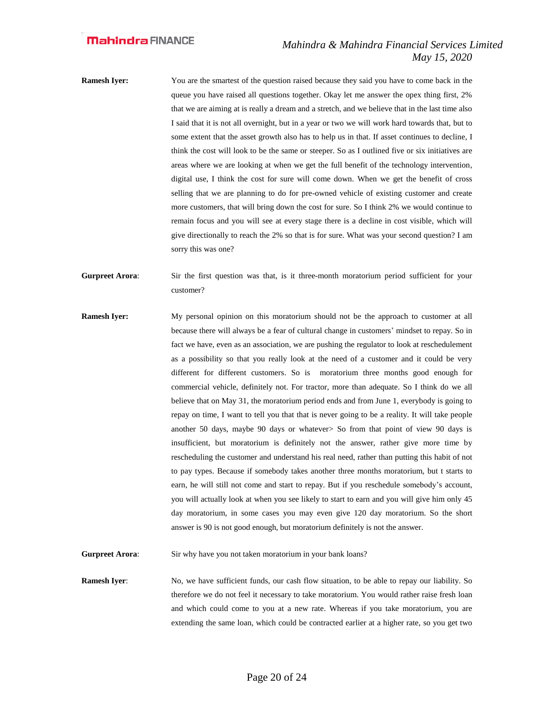- **Ramesh Iyer:** You are the smartest of the question raised because they said you have to come back in the queue you have raised all questions together. Okay let me answer the opex thing first, 2% that we are aiming at is really a dream and a stretch, and we believe that in the last time also I said that it is not all overnight, but in a year or two we will work hard towards that, but to some extent that the asset growth also has to help us in that. If asset continues to decline, I think the cost will look to be the same or steeper. So as I outlined five or six initiatives are areas where we are looking at when we get the full benefit of the technology intervention, digital use, I think the cost for sure will come down. When we get the benefit of cross selling that we are planning to do for pre-owned vehicle of existing customer and create more customers, that will bring down the cost for sure. So I think 2% we would continue to remain focus and you will see at every stage there is a decline in cost visible, which will give directionally to reach the 2% so that is for sure. What was your second question? I am sorry this was one?
- **Gurpreet Arora**: Sir the first question was that, is it three-month moratorium period sufficient for your customer?
- **Ramesh Iyer:** My personal opinion on this moratorium should not be the approach to customer at all because there will always be a fear of cultural change in customers' mindset to repay. So in fact we have, even as an association, we are pushing the regulator to look at reschedulement as a possibility so that you really look at the need of a customer and it could be very different for different customers. So is moratorium three months good enough for commercial vehicle, definitely not. For tractor, more than adequate. So I think do we all believe that on May 31, the moratorium period ends and from June 1, everybody is going to repay on time, I want to tell you that that is never going to be a reality. It will take people another 50 days, maybe 90 days or whatever> So from that point of view 90 days is insufficient, but moratorium is definitely not the answer, rather give more time by rescheduling the customer and understand his real need, rather than putting this habit of not to pay types. Because if somebody takes another three months moratorium, but t starts to earn, he will still not come and start to repay. But if you reschedule somebody's account, you will actually look at when you see likely to start to earn and you will give him only 45 day moratorium, in some cases you may even give 120 day moratorium. So the short answer is 90 is not good enough, but moratorium definitely is not the answer.

**Gurpreet Arora:** Sir why have you not taken moratorium in your bank loans?

**Ramesh Iyer:** No, we have sufficient funds, our cash flow situation, to be able to repay our liability. So therefore we do not feel it necessary to take moratorium. You would rather raise fresh loan and which could come to you at a new rate. Whereas if you take moratorium, you are extending the same loan, which could be contracted earlier at a higher rate, so you get two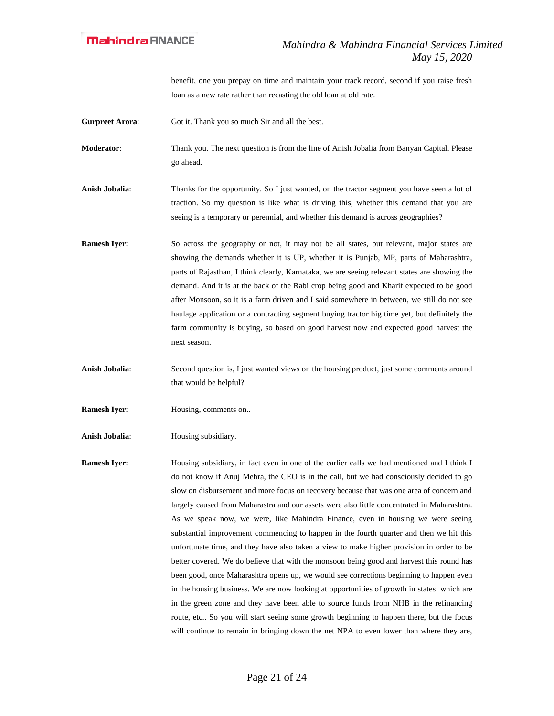benefit, one you prepay on time and maintain your track record, second if you raise fresh loan as a new rate rather than recasting the old loan at old rate.

**Gurpreet Arora:** Got it. Thank you so much Sir and all the best.

**Moderator**: Thank you. The next question is from the line of Anish Jobalia from Banyan Capital. Please go ahead.

**Anish Jobalia**: Thanks for the opportunity. So I just wanted, on the tractor segment you have seen a lot of traction. So my question is like what is driving this, whether this demand that you are seeing is a temporary or perennial, and whether this demand is across geographies?

**Ramesh Iyer:** So across the geography or not, it may not be all states, but relevant, major states are showing the demands whether it is UP, whether it is Punjab, MP, parts of Maharashtra, parts of Rajasthan, I think clearly, Karnataka, we are seeing relevant states are showing the demand. And it is at the back of the Rabi crop being good and Kharif expected to be good after Monsoon, so it is a farm driven and I said somewhere in between, we still do not see haulage application or a contracting segment buying tractor big time yet, but definitely the farm community is buying, so based on good harvest now and expected good harvest the next season.

**Anish Jobalia**: Second question is, I just wanted views on the housing product, just some comments around that would be helpful?

**Ramesh Iyer:** Housing, comments on..

**Anish Jobalia**: Housing subsidiary.

**Ramesh Iyer:** Housing subsidiary, in fact even in one of the earlier calls we had mentioned and I think I do not know if Anuj Mehra, the CEO is in the call, but we had consciously decided to go slow on disbursement and more focus on recovery because that was one area of concern and largely caused from Maharastra and our assets were also little concentrated in Maharashtra. As we speak now, we were, like Mahindra Finance, even in housing we were seeing substantial improvement commencing to happen in the fourth quarter and then we hit this unfortunate time, and they have also taken a view to make higher provision in order to be better covered. We do believe that with the monsoon being good and harvest this round has been good, once Maharashtra opens up, we would see corrections beginning to happen even in the housing business. We are now looking at opportunities of growth in states which are in the green zone and they have been able to source funds from NHB in the refinancing route, etc.. So you will start seeing some growth beginning to happen there, but the focus will continue to remain in bringing down the net NPA to even lower than where they are,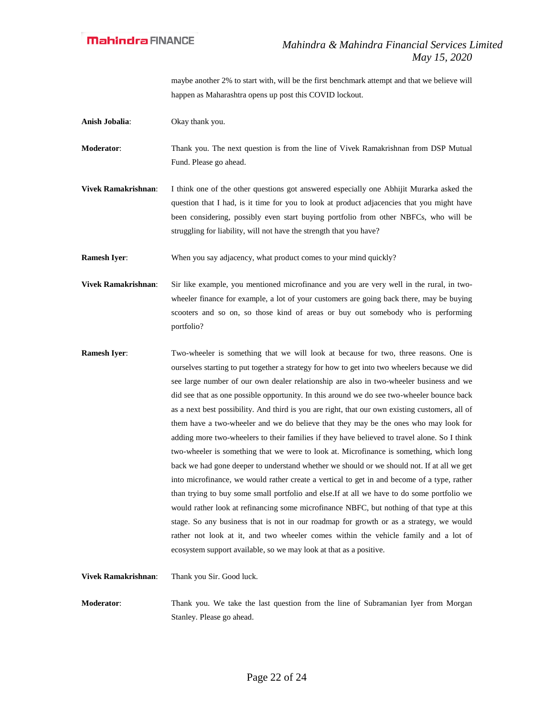maybe another 2% to start with, will be the first benchmark attempt and that we believe will happen as Maharashtra opens up post this COVID lockout.

**Anish Jobalia**: Okay thank you.

**Moderator**: Thank you. The next question is from the line of Vivek Ramakrishnan from DSP Mutual Fund. Please go ahead.

**Vivek Ramakrishnan**: I think one of the other questions got answered especially one Abhijit Murarka asked the question that I had, is it time for you to look at product adjacencies that you might have been considering, possibly even start buying portfolio from other NBFCs, who will be struggling for liability, will not have the strength that you have?

**Ramesh Iyer:** When you say adjacency, what product comes to your mind quickly?

**Vivek Ramakrishnan**: Sir like example, you mentioned microfinance and you are very well in the rural, in twowheeler finance for example, a lot of your customers are going back there, may be buying scooters and so on, so those kind of areas or buy out somebody who is performing portfolio?

**Ramesh Iyer:** Two-wheeler is something that we will look at because for two, three reasons. One is ourselves starting to put together a strategy for how to get into two wheelers because we did see large number of our own dealer relationship are also in two-wheeler business and we did see that as one possible opportunity. In this around we do see two-wheeler bounce back as a next best possibility. And third is you are right, that our own existing customers, all of them have a two-wheeler and we do believe that they may be the ones who may look for adding more two-wheelers to their families if they have believed to travel alone. So I think two-wheeler is something that we were to look at. Microfinance is something, which long back we had gone deeper to understand whether we should or we should not. If at all we get into microfinance, we would rather create a vertical to get in and become of a type, rather than trying to buy some small portfolio and else.If at all we have to do some portfolio we would rather look at refinancing some microfinance NBFC, but nothing of that type at this stage. So any business that is not in our roadmap for growth or as a strategy, we would rather not look at it, and two wheeler comes within the vehicle family and a lot of ecosystem support available, so we may look at that as a positive.

**Moderator**: Thank you. We take the last question from the line of Subramanian Iyer from Morgan

Stanley. Please go ahead.

**Vivek Ramakrishnan**: Thank you Sir. Good luck.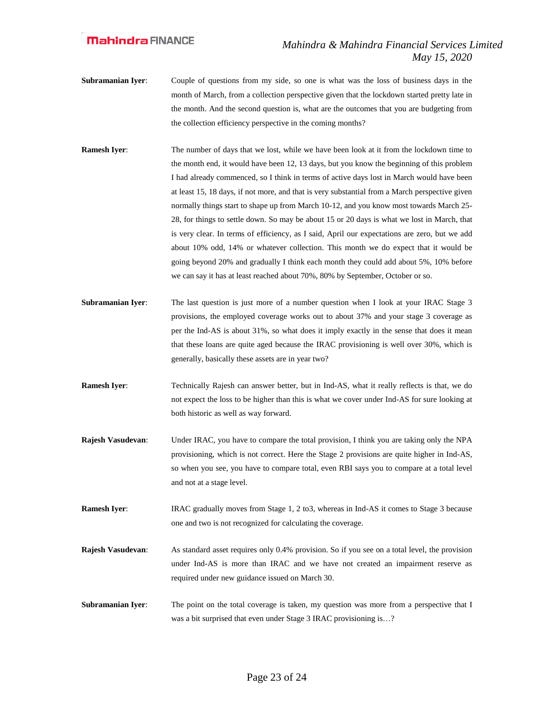- **Subramanian Iyer**: Couple of questions from my side, so one is what was the loss of business days in the month of March, from a collection perspective given that the lockdown started pretty late in the month. And the second question is, what are the outcomes that you are budgeting from the collection efficiency perspective in the coming months?
- **Ramesh Iyer:** The number of days that we lost, while we have been look at it from the lockdown time to the month end, it would have been 12, 13 days, but you know the beginning of this problem I had already commenced, so I think in terms of active days lost in March would have been at least 15, 18 days, if not more, and that is very substantial from a March perspective given normally things start to shape up from March 10-12, and you know most towards March 25- 28, for things to settle down. So may be about 15 or 20 days is what we lost in March, that is very clear. In terms of efficiency, as I said, April our expectations are zero, but we add about 10% odd, 14% or whatever collection. This month we do expect that it would be going beyond 20% and gradually I think each month they could add about 5%, 10% before we can say it has at least reached about 70%, 80% by September, October or so.
- **Subramanian Iyer:** The last question is just more of a number question when I look at your IRAC Stage 3 provisions, the employed coverage works out to about 37% and your stage 3 coverage as per the Ind-AS is about 31%, so what does it imply exactly in the sense that does it mean that these loans are quite aged because the IRAC provisioning is well over 30%, which is generally, basically these assets are in year two?
- **Ramesh Iyer:** Technically Rajesh can answer better, but in Ind-AS, what it really reflects is that, we do not expect the loss to be higher than this is what we cover under Ind-AS for sure looking at both historic as well as way forward.
- **Rajesh Vasudevan:** Under IRAC, you have to compare the total provision, I think you are taking only the NPA provisioning, which is not correct. Here the Stage 2 provisions are quite higher in Ind-AS, so when you see, you have to compare total, even RBI says you to compare at a total level and not at a stage level.
- **Ramesh Iyer:** IRAC gradually moves from Stage 1, 2 to3, whereas in Ind-AS it comes to Stage 3 because one and two is not recognized for calculating the coverage.
- **Rajesh Vasudevan**: As standard asset requires only 0.4% provision. So if you see on a total level, the provision under Ind-AS is more than IRAC and we have not created an impairment reserve as required under new guidance issued on March 30.
- **Subramanian Iyer:** The point on the total coverage is taken, my question was more from a perspective that I was a bit surprised that even under Stage 3 IRAC provisioning is…?